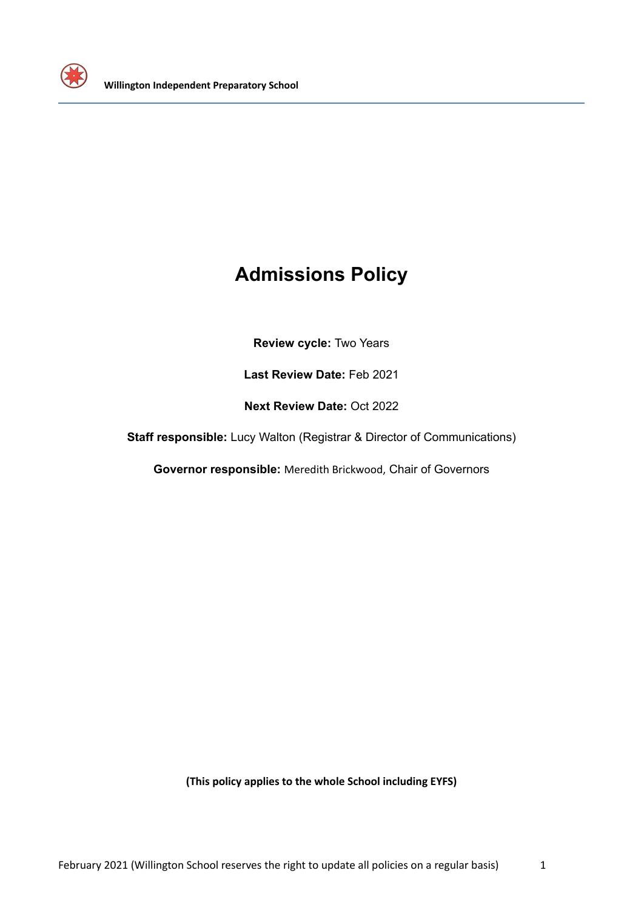

# **Admissions Policy**

**Review cycle:** Two Years

**Last Review Date:** Feb 2021

**Next Review Date:** Oct 2022

**Staff responsible:** Lucy Walton (Registrar & Director of Communications)

**Governor responsible:** Meredith Brickwood, Chair of Governors

**(This policy applies to the whole School including EYFS)**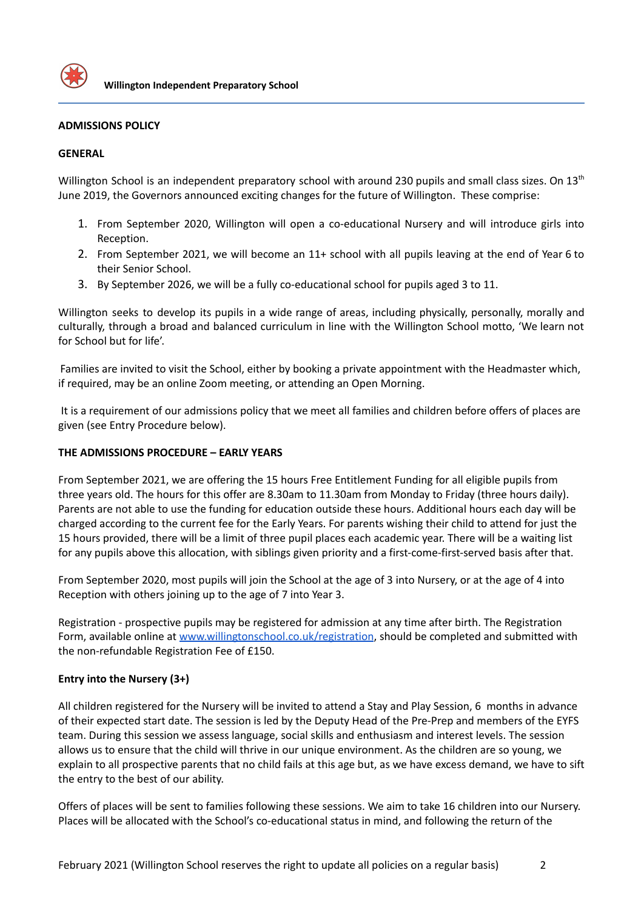

#### **ADMISSIONS POLICY**

#### **GENERAL**

Willington School is an independent preparatory school with around 230 pupils and small class sizes. On 13<sup>th</sup> June 2019, the Governors announced exciting changes for the future of Willington. These comprise:

- 1. From September 2020, Willington will open a co-educational Nursery and will introduce girls into Reception.
- 2. From September 2021, we will become an 11+ school with all pupils leaving at the end of Year 6 to their Senior School.
- 3. By September 2026, we will be a fully co-educational school for pupils aged 3 to 11.

Willington seeks to develop its pupils in a wide range of areas, including physically, personally, morally and culturally, through a broad and balanced curriculum in line with the Willington School motto, 'We learn not for School but for life'.

Families are invited to visit the School, either by booking a private appointment with the Headmaster which, if required, may be an online Zoom meeting, or attending an Open Morning.

It is a requirement of our admissions policy that we meet all families and children before offers of places are given (see Entry Procedure below).

#### **THE ADMISSIONS PROCEDURE – EARLY YEARS**

From September 2021, we are offering the 15 hours Free Entitlement Funding for all eligible pupils from three years old. The hours for this offer are 8.30am to 11.30am from Monday to Friday (three hours daily). Parents are not able to use the funding for education outside these hours. Additional hours each day will be charged according to the current fee for the Early Years. For parents wishing their child to attend for just the 15 hours provided, there will be a limit of three pupil places each academic year. There will be a waiting list for any pupils above this allocation, with siblings given priority and a first-come-first-served basis after that.

From September 2020, most pupils will join the School at the age of 3 into Nursery, or at the age of 4 into Reception with others joining up to the age of 7 into Year 3.

Registration - prospective pupils may be registered for admission at any time after birth. The Registration Form, available online at [www.willingtonschool.co.uk/registration](http://www.willingtonschool.co.uk/registration), should be completed and submitted with the non-refundable Registration Fee of £150.

## **Entry into the Nursery (3+)**

All children registered for the Nursery will be invited to attend a Stay and Play Session, 6 months in advance of their expected start date. The session is led by the Deputy Head of the Pre-Prep and members of the EYFS team. During this session we assess language, social skills and enthusiasm and interest levels. The session allows us to ensure that the child will thrive in our unique environment. As the children are so young, we explain to all prospective parents that no child fails at this age but, as we have excess demand, we have to sift the entry to the best of our ability.

Offers of places will be sent to families following these sessions. We aim to take 16 children into our Nursery. Places will be allocated with the School's co-educational status in mind, and following the return of the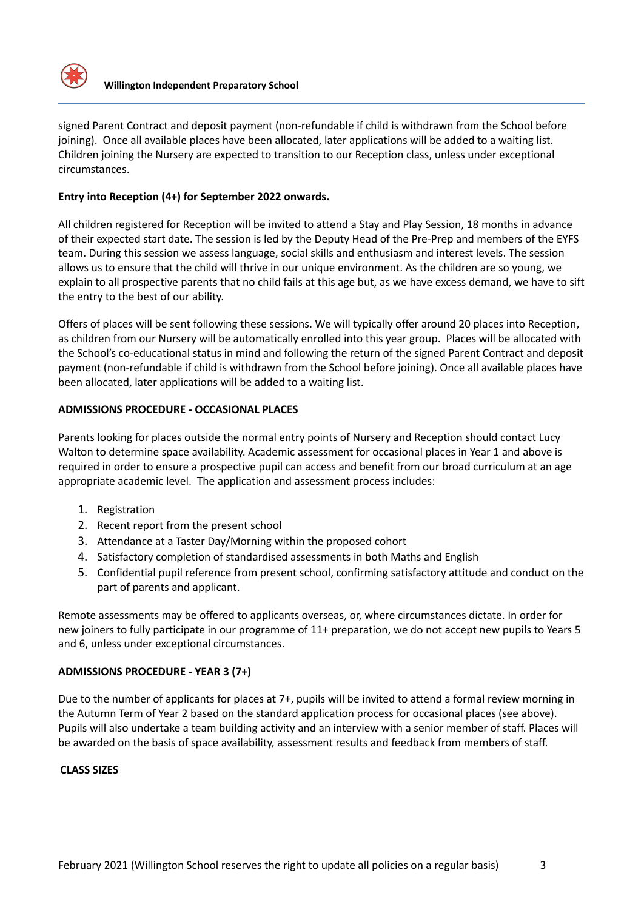

signed Parent Contract and deposit payment (non-refundable if child is withdrawn from the School before joining). Once all available places have been allocated, later applications will be added to a waiting list. Children joining the Nursery are expected to transition to our Reception class, unless under exceptional circumstances.

# **Entry into Reception (4+) for September 2022 onwards.**

All children registered for Reception will be invited to attend a Stay and Play Session, 18 months in advance of their expected start date. The session is led by the Deputy Head of the Pre-Prep and members of the EYFS team. During this session we assess language, social skills and enthusiasm and interest levels. The session allows us to ensure that the child will thrive in our unique environment. As the children are so young, we explain to all prospective parents that no child fails at this age but, as we have excess demand, we have to sift the entry to the best of our ability.

Offers of places will be sent following these sessions. We will typically offer around 20 places into Reception, as children from our Nursery will be automatically enrolled into this year group. Places will be allocated with the School's co-educational status in mind and following the return of the signed Parent Contract and deposit payment (non-refundable if child is withdrawn from the School before joining). Once all available places have been allocated, later applications will be added to a waiting list.

# **ADMISSIONS PROCEDURE - OCCASIONAL PLACES**

Parents looking for places outside the normal entry points of Nursery and Reception should contact Lucy Walton to determine space availability. Academic assessment for occasional places in Year 1 and above is required in order to ensure a prospective pupil can access and benefit from our broad curriculum at an age appropriate academic level. The application and assessment process includes:

- 1. Registration
- 2. Recent report from the present school
- 3. Attendance at a Taster Day/Morning within the proposed cohort
- 4. Satisfactory completion of standardised assessments in both Maths and English
- 5. Confidential pupil reference from present school, confirming satisfactory attitude and conduct on the part of parents and applicant.

Remote assessments may be offered to applicants overseas, or, where circumstances dictate. In order for new joiners to fully participate in our programme of 11+ preparation, we do not accept new pupils to Years 5 and 6, unless under exceptional circumstances.

## **ADMISSIONS PROCEDURE - YEAR 3 (7+)**

Due to the number of applicants for places at 7+, pupils will be invited to attend a formal review morning in the Autumn Term of Year 2 based on the standard application process for occasional places (see above). Pupils will also undertake a team building activity and an interview with a senior member of staff. Places will be awarded on the basis of space availability, assessment results and feedback from members of staff.

## **CLASS SIZES**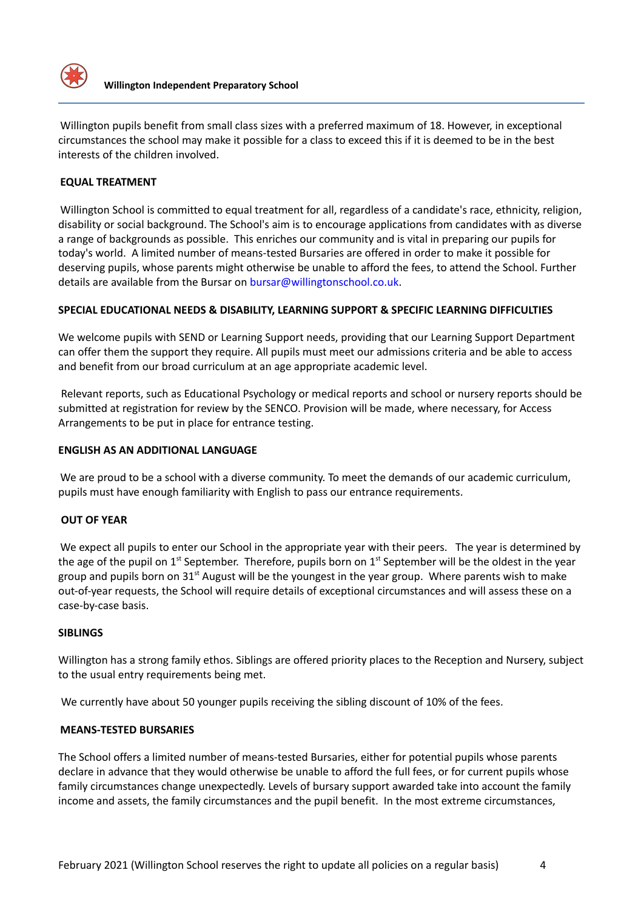

Willington pupils benefit from small class sizes with a preferred maximum of 18. However, in exceptional circumstances the school may make it possible for a class to exceed this if it is deemed to be in the best interests of the children involved.

## **EQUAL TREATMENT**

Willington School is committed to equal treatment for all, regardless of a candidate's race, ethnicity, religion, disability or social background. The School's aim is to encourage applications from candidates with as diverse a range of backgrounds as possible. This enriches our community and is vital in preparing our pupils for today's world. A limited number of means-tested Bursaries are offered in order to make it possible for deserving pupils, whose parents might otherwise be unable to afford the fees, to attend the School. Further details are available from the Bursar on bursar@willingtonschool.co.uk.

#### **SPECIAL EDUCATIONAL NEEDS & DISABILITY, LEARNING SUPPORT & SPECIFIC LEARNING DIFFICULTIES**

We welcome pupils with SEND or Learning Support needs, providing that our Learning Support Department can offer them the support they require. All pupils must meet our admissions criteria and be able to access and benefit from our broad curriculum at an age appropriate academic level.

Relevant reports, such as Educational Psychology or medical reports and school or nursery reports should be submitted at registration for review by the SENCO. Provision will be made, where necessary, for Access Arrangements to be put in place for entrance testing.

#### **ENGLISH AS AN ADDITIONAL LANGUAGE**

We are proud to be a school with a diverse community. To meet the demands of our academic curriculum, pupils must have enough familiarity with English to pass our entrance requirements.

## **OUT OF YEAR**

We expect all pupils to enter our School in the appropriate year with their peers. The year is determined by the age of the pupil on 1<sup>st</sup> September. Therefore, pupils born on 1<sup>st</sup> September will be the oldest in the year group and pupils born on 31<sup>st</sup> August will be the youngest in the year group. Where parents wish to make out-of-year requests, the School will require details of exceptional circumstances and will assess these on a case-by-case basis.

#### **SIBLINGS**

Willington has a strong family ethos. Siblings are offered priority places to the Reception and Nursery, subject to the usual entry requirements being met.

We currently have about 50 younger pupils receiving the sibling discount of 10% of the fees.

## **MEANS-TESTED BURSARIES**

The School offers a limited number of means-tested Bursaries, either for potential pupils whose parents declare in advance that they would otherwise be unable to afford the full fees, or for current pupils whose family circumstances change unexpectedly. Levels of bursary support awarded take into account the family income and assets, the family circumstances and the pupil benefit. In the most extreme circumstances,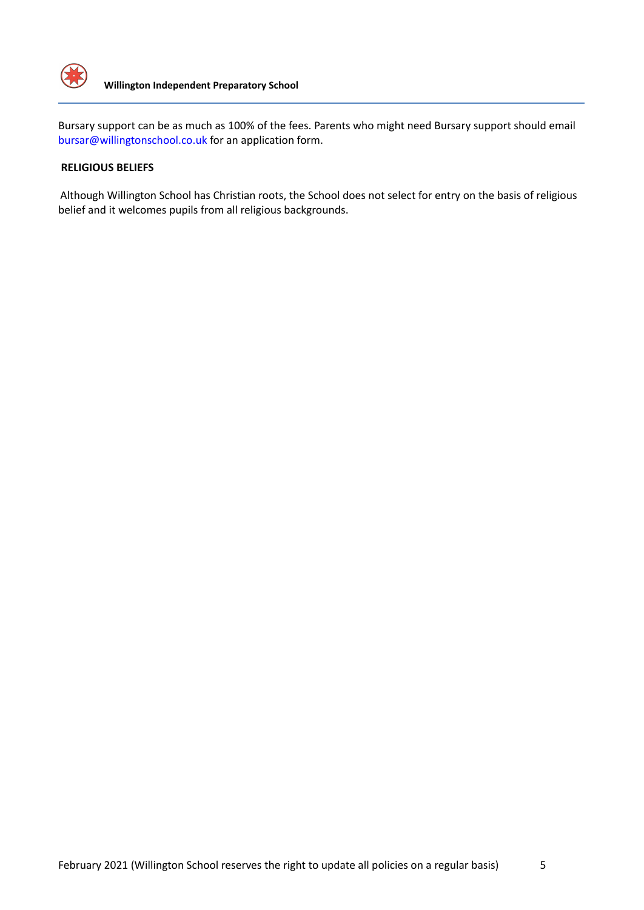

Bursary support can be as much as 100% of the fees. Parents who might need Bursary support should email bursar@willingtonschool.co.uk for an application form.

## **RELIGIOUS BELIEFS**

Although Willington School has Christian roots, the School does not select for entry on the basis of religious belief and it welcomes pupils from all religious backgrounds.